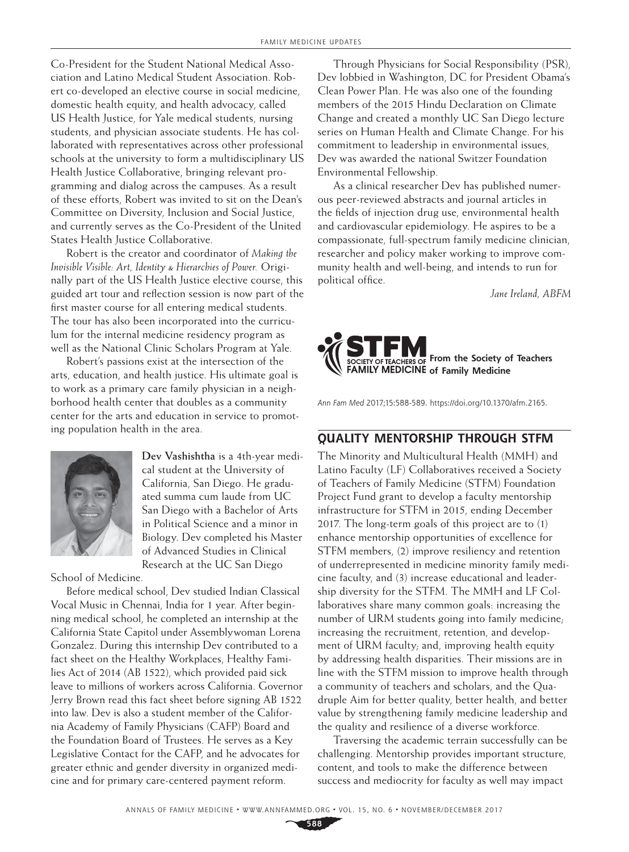Co-President for the Student National Medical Association and Latino Medical Student Association. Robert co-developed an elective course in social medicine, domestic health equity, and health advocacy, called US Health Justice, for Yale medical students, nursing students, and physician associate students. He has collaborated with representatives across other professional schools at the university to form a multidisciplinary US Health Justice Collaborative, bringing relevant programming and dialog across the campuses. As a result of these efforts, Robert was invited to sit on the Dean's Committee on Diversity, Inclusion and Social Justice, and currently serves as the Co-President of the United States Health Justice Collaborative.

Robert is the creator and coordinator of *Making the Invisible Visible: Art, Identity & Hierarchies of Power.* Originally part of the US Health Justice elective course, this guided art tour and reflection session is now part of the first master course for all entering medical students. The tour has also been incorporated into the curriculum for the internal medicine residency program as well as the National Clinic Scholars Program at Yale.

Robert's passions exist at the intersection of the arts, education, and health justice. His ultimate goal is to work as a primary care family physician in a neighborhood health center that doubles as a community center for the arts and education in service to promoting population health in the area.



**Dev Vashishtha** is a 4th-year medical student at the University of California, San Diego. He graduated summa cum laude from UC San Diego with a Bachelor of Arts in Political Science and a minor in Biology. Dev completed his Master of Advanced Studies in Clinical Research at the UC San Diego

School of Medicine.

Before medical school, Dev studied Indian Classical Vocal Music in Chennai, India for 1 year. After beginning medical school, he completed an internship at the California State Capitol under Assemblywoman Lorena Gonzalez. During this internship Dev contributed to a fact sheet on the Healthy Workplaces, Healthy Families Act of 2014 (AB 1522), which provided paid sick leave to millions of workers across California. Governor Jerry Brown read this fact sheet before signing AB 1522 into law. Dev is also a student member of the California Academy of Family Physicians (CAFP) Board and the Foundation Board of Trustees. He serves as a Key Legislative Contact for the CAFP, and he advocates for greater ethnic and gender diversity in organized medicine and for primary care-centered payment reform.

Through Physicians for Social Responsibility (PSR), Dev lobbied in Washington, DC for President Obama's Clean Power Plan. He was also one of the founding members of the 2015 Hindu Declaration on Climate Change and created a monthly UC San Diego lecture series on Human Health and Climate Change. For his commitment to leadership in environmental issues, Dev was awarded the national Switzer Foundation Environmental Fellowship.

As a clinical researcher Dev has published numerous peer-reviewed abstracts and journal articles in the fields of injection drug use, environmental health and cardiovascular epidemiology. He aspires to be a compassionate, full-spectrum family medicine clinician, researcher and policy maker working to improve community health and well-being, and intends to run for political office.

*Jane Ireland, ABFM*



*Ann Fam Med* 2017;15:588-589. [https://doi.org/10.1370/afm.2165.](https://doi.org/10.1370/afm.2165)

## **QUALITY MENTORSHIP THROUGH STFM**

The Minority and Multicultural Health (MMH) and Latino Faculty (LF) Collaboratives received a Society of Teachers of Family Medicine (STFM) Foundation Project Fund grant to develop a faculty mentorship infrastructure for STFM in 2015, ending December 2017. The long-term goals of this project are to (1) enhance mentorship opportunities of excellence for STFM members, (2) improve resiliency and retention of underrepresented in medicine minority family medicine faculty, and (3) increase educational and leadership diversity for the STFM. The MMH and LF Collaboratives share many common goals: increasing the number of URM students going into family medicine; increasing the recruitment, retention, and development of URM faculty; and, improving health equity by addressing health disparities. Their missions are in line with the STFM mission to improve health through a community of teachers and scholars, and the Quadruple Aim for better quality, better health, and better value by strengthening family medicine leadership and the quality and resilience of a diverse workforce.

Traversing the academic terrain successfully can be challenging. Mentorship provides important structure, content, and tools to make the difference between success and mediocrity for faculty as well may impact